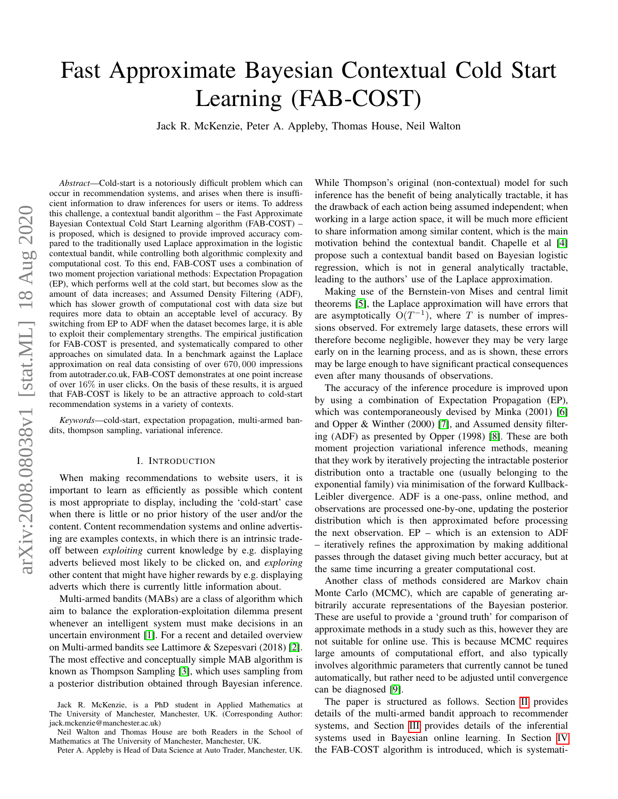# Fast Approximate Bayesian Contextual Cold Start Learning (FAB-COST)

Jack R. McKenzie, Peter A. Appleby, Thomas House, Neil Walton

*Abstract*—Cold-start is a notoriously difficult problem which can occur in recommendation systems, and arises when there is insufficient information to draw inferences for users or items. To address this challenge, a contextual bandit algorithm – the Fast Approximate Bayesian Contextual Cold Start Learning algorithm (FAB-COST) – is proposed, which is designed to provide improved accuracy compared to the traditionally used Laplace approximation in the logistic contextual bandit, while controlling both algorithmic complexity and computational cost. To this end, FAB-COST uses a combination of two moment projection variational methods: Expectation Propagation (EP), which performs well at the cold start, but becomes slow as the amount of data increases; and Assumed Density Filtering (ADF), which has slower growth of computational cost with data size but requires more data to obtain an acceptable level of accuracy. By switching from EP to ADF when the dataset becomes large, it is able to exploit their complementary strengths. The empirical justification for FAB-COST is presented, and systematically compared to other approaches on simulated data. In a benchmark against the Laplace approximation on real data consisting of over 670, 000 impressions from autotrader.co.uk, FAB-COST demonstrates at one point increase of over 16% in user clicks. On the basis of these results, it is argued that FAB-COST is likely to be an attractive approach to cold-start recommendation systems in a variety of contexts.

*Keywords*—cold-start, expectation propagation, multi-armed bandits, thompson sampling, variational inference.

# I. INTRODUCTION

When making recommendations to website users, it is important to learn as efficiently as possible which content is most appropriate to display, including the 'cold-start' case when there is little or no prior history of the user and/or the content. Content recommendation systems and online advertising are examples contexts, in which there is an intrinsic tradeoff between *exploiting* current knowledge by e.g. displaying adverts believed most likely to be clicked on, and *exploring* other content that might have higher rewards by e.g. displaying adverts which there is currently little information about.

Multi-armed bandits (MABs) are a class of algorithm which aim to balance the exploration-exploitation dilemma present whenever an intelligent system must make decisions in an uncertain environment [\[1\]](#page-8-0). For a recent and detailed overview on Multi-armed bandits see Lattimore & Szepesvari (2018) [\[2\]](#page-8-1). The most effective and conceptually simple MAB algorithm is known as Thompson Sampling [\[3\]](#page-8-2), which uses sampling from a posterior distribution obtained through Bayesian inference.

While Thompson's original (non-contextual) model for such inference has the benefit of being analytically tractable, it has the drawback of each action being assumed independent; when working in a large action space, it will be much more efficient to share information among similar content, which is the main motivation behind the contextual bandit. Chapelle et al [\[4\]](#page-8-3) propose such a contextual bandit based on Bayesian logistic regression, which is not in general analytically tractable, leading to the authors' use of the Laplace approximation.

Making use of the Bernstein-von Mises and central limit theorems [\[5\]](#page-8-4), the Laplace approximation will have errors that are asymptotically  $O(T^{-1})$ , where T is number of impressions observed. For extremely large datasets, these errors will therefore become negligible, however they may be very large early on in the learning process, and as is shown, these errors may be large enough to have significant practical consequences even after many thousands of observations.

The accuracy of the inference procedure is improved upon by using a combination of Expectation Propagation (EP), which was contemporaneously devised by Minka (2001) [\[6\]](#page-8-5) and Opper & Winther (2000) [\[7\]](#page-8-6), and Assumed density filtering (ADF) as presented by Opper (1998) [\[8\]](#page-8-7). These are both moment projection variational inference methods, meaning that they work by iteratively projecting the intractable posterior distribution onto a tractable one (usually belonging to the exponential family) via minimisation of the forward Kullback-Leibler divergence. ADF is a one-pass, online method, and observations are processed one-by-one, updating the posterior distribution which is then approximated before processing the next observation. EP – which is an extension to ADF – iteratively refines the approximation by making additional passes through the dataset giving much better accuracy, but at the same time incurring a greater computational cost.

Another class of methods considered are Markov chain Monte Carlo (MCMC), which are capable of generating arbitrarily accurate representations of the Bayesian posterior. These are useful to provide a 'ground truth' for comparison of approximate methods in a study such as this, however they are not suitable for online use. This is because MCMC requires large amounts of computational effort, and also typically involves algorithmic parameters that currently cannot be tuned automatically, but rather need to be adjusted until convergence can be diagnosed [\[9\]](#page-8-8).

The paper is structured as follows. Section [II](#page-1-0) provides details of the multi-armed bandit approach to recommender systems, and Section [III](#page-2-0) provides details of the inferential systems used in Bayesian online learning. In Section [IV](#page-3-0) the FAB-COST algorithm is introduced, which is systemati-

Jack R. McKenzie, is a PhD student in Applied Mathematics at The University of Manchester, Manchester, UK. (Corresponding Author: jack.mckenzie@manchester.ac.uk)

Neil Walton and Thomas House are both Readers in the School of Mathematics at The University of Manchester, Manchester, UK.

Peter A. Appleby is Head of Data Science at Auto Trader, Manchester, UK.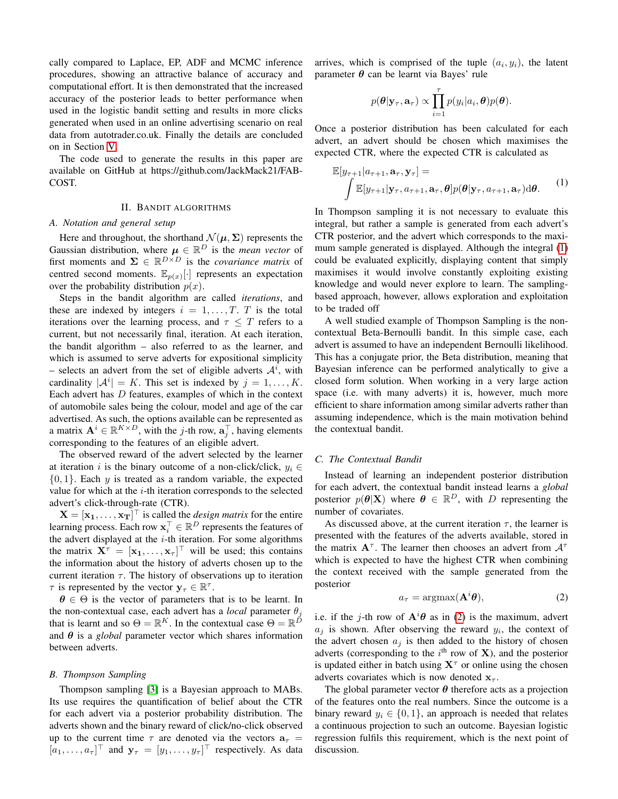cally compared to Laplace, EP, ADF and MCMC inference procedures, showing an attractive balance of accuracy and computational effort. It is then demonstrated that the increased accuracy of the posterior leads to better performance when used in the logistic bandit setting and results in more clicks generated when used in an online advertising scenario on real data from autotrader.co.uk. Finally the details are concluded on in Section [V.](#page-8-9)

The code used to generate the results in this paper are available on GitHub at https://github.com/JackMack21/FAB-COST.

#### II. BANDIT ALGORITHMS

#### <span id="page-1-0"></span>*A. Notation and general setup*

Here and throughout, the shorthand  $\mathcal{N}(\mu, \Sigma)$  represents the Gaussian distribution, where  $\mu \in \mathbb{R}^D$  is the *mean vector* of first moments and  $\Sigma \in \mathbb{R}^{D \times D}$  is the *covariance matrix* of centred second moments.  $\mathbb{E}_{p(x)}[\cdot]$  represents an expectation over the probability distribution  $p(x)$ .

Steps in the bandit algorithm are called *iterations*, and these are indexed by integers  $i = 1, \ldots, T$ . T is the total iterations over the learning process, and  $\tau \leq T$  refers to a current, but not necessarily final, iteration. At each iteration, the bandit algorithm – also referred to as the learner, and which is assumed to serve adverts for expositional simplicity – selects an advert from the set of eligible adverts  $A^i$ , with cardinality  $|A^i| = K$ . This set is indexed by  $j = 1, ..., K$ . Each advert has  $D$  features, examples of which in the context of automobile sales being the colour, model and age of the car advertised. As such, the options available can be represented as a matrix  $A^i \in \mathbb{R}^{K \times D}$ , with the j-th row,  $a_j^{\top}$ , having elements corresponding to the features of an eligible advert.

The observed reward of the advert selected by the learner at iteration i is the binary outcome of a non-click/click,  $y_i \in$  $\{0, 1\}$ . Each y is treated as a random variable, the expected value for which at the  $i$ -th iteration corresponds to the selected advert's click-through-rate (CTR).

 $X = [\mathbf{x_1}, \dots, \mathbf{x_T}]^\top$  is called the *design matrix* for the entire learning process. Each row  $\mathbf{x}_i^{\top} \in \mathbb{R}^D$  represents the features of the advert displayed at the  $i$ -th iteration. For some algorithms the matrix  $X^{\tau} = [x_1, \dots, x_{\tau}]^{\top}$  will be used; this contains the information about the history of adverts chosen up to the current iteration  $\tau$ . The history of observations up to iteration  $\tau$  is represented by the vector  $y_{\tau} \in \mathbb{R}^{\tau}$ .

 $\theta \in \Theta$  is the vector of parameters that is to be learnt. In the non-contextual case, each advert has a *local* parameter  $\theta_i$ that is learnt and so  $\Theta = \mathbb{R}^K$ . In the contextual case  $\Theta = \mathbb{R}^{\tilde{D}}$ and  $\theta$  is a *global* parameter vector which shares information between adverts.

#### *B. Thompson Sampling*

Thompson sampling [\[3\]](#page-8-2) is a Bayesian approach to MABs. Its use requires the quantification of belief about the CTR for each advert via a posterior probability distribution. The adverts shown and the binary reward of click/no-click observed up to the current time  $\tau$  are denoted via the vectors  $a_{\tau}$  =  $[a_1, \ldots, a_\tau]^\top$  and  $\mathbf{y}_\tau = [y_1, \ldots, y_\tau]^\top$  respectively. As data

arrives, which is comprised of the tuple  $(a_i, y_i)$ , the latent parameter  $\theta$  can be learnt via Bayes' rule

$$
p(\boldsymbol{\theta}|\mathbf{y}_{\tau},\mathbf{a}_{\tau}) \propto \prod_{i=1}^{\tau} p(y_i|a_i,\boldsymbol{\theta})p(\boldsymbol{\theta}).
$$

Once a posterior distribution has been calculated for each advert, an advert should be chosen which maximises the expected CTR, where the expected CTR is calculated as

<span id="page-1-1"></span>
$$
\mathbb{E}[y_{\tau+1}|a_{\tau+1}, \mathbf{a}_{\tau}, \mathbf{y}_{\tau}] =
$$
\n
$$
\int \mathbb{E}[y_{\tau+1}|\mathbf{y}_{\tau}, a_{\tau+1}, \mathbf{a}_{\tau}, \theta] p(\theta|\mathbf{y}_{\tau}, a_{\tau+1}, \mathbf{a}_{\tau}) d\theta.
$$
\n(1)

In Thompson sampling it is not necessary to evaluate this integral, but rather a sample is generated from each advert's CTR posterior, and the advert which corresponds to the maximum sample generated is displayed. Although the integral [\(1\)](#page-1-1) could be evaluated explicitly, displaying content that simply maximises it would involve constantly exploiting existing knowledge and would never explore to learn. The samplingbased approach, however, allows exploration and exploitation to be traded off

A well studied example of Thompson Sampling is the noncontextual Beta-Bernoulli bandit. In this simple case, each advert is assumed to have an independent Bernoulli likelihood. This has a conjugate prior, the Beta distribution, meaning that Bayesian inference can be performed analytically to give a closed form solution. When working in a very large action space (i.e. with many adverts) it is, however, much more efficient to share information among similar adverts rather than assuming independence, which is the main motivation behind the contextual bandit.

## *C. The Contextual Bandit*

Instead of learning an independent posterior distribution for each advert, the contextual bandit instead learns a *global* posterior  $p(\theta|\mathbf{X})$  where  $\theta \in \mathbb{R}^D$ , with D representing the number of covariates.

As discussed above, at the current iteration  $\tau$ , the learner is presented with the features of the adverts available, stored in the matrix  $A^{\tau}$ . The learner then chooses an advert from  $A^{\tau}$ which is expected to have the highest CTR when combining the context received with the sample generated from the posterior

<span id="page-1-2"></span>
$$
a_{\tau} = \operatorname{argmax}(\mathbf{A}^i \boldsymbol{\theta}),\tag{2}
$$

i.e. if the j-th row of  $\mathbf{A}^{i} \theta$  as in [\(2\)](#page-1-2) is the maximum, advert  $a_j$  is shown. After observing the reward  $y_i$ , the context of the advert chosen  $a_i$  is then added to the history of chosen adverts (corresponding to the  $i<sup>th</sup>$  row of **X**), and the posterior is updated either in batch using  $X^{\tau}$  or online using the chosen adverts covariates which is now denoted  $x_{\tau}$ .

The global parameter vector  $\theta$  therefore acts as a projection of the features onto the real numbers. Since the outcome is a binary reward  $y_i \in \{0, 1\}$ , an approach is needed that relates a continuous projection to such an outcome. Bayesian logistic regression fulfils this requirement, which is the next point of discussion.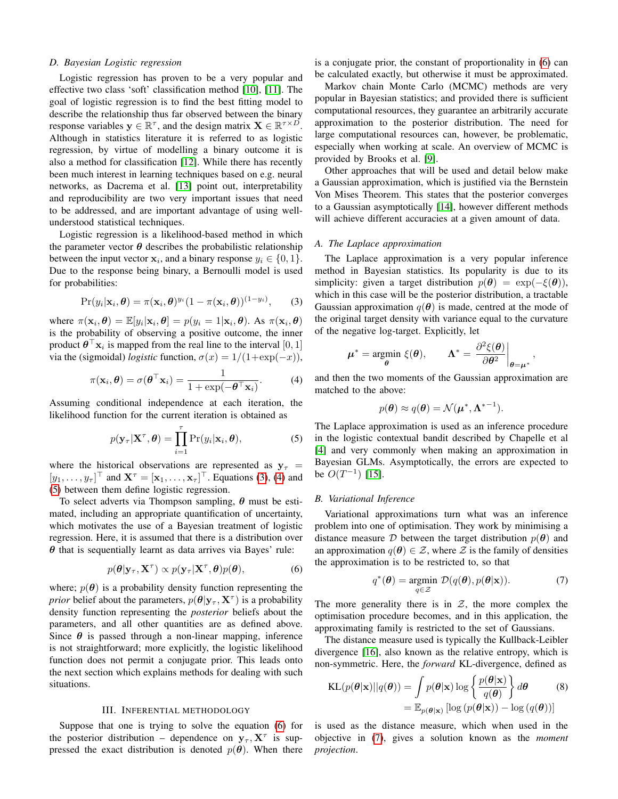## *D. Bayesian Logistic regression*

Logistic regression has proven to be a very popular and effective two class 'soft' classification method [\[10\]](#page-8-10), [\[11\]](#page-9-0). The goal of logistic regression is to find the best fitting model to describe the relationship thus far observed between the binary response variables  $y \in \mathbb{R}^{\tau}$ , and the design matrix  $X \in \mathbb{R}^{\tau \times D}$ . Although in statistics literature it is referred to as logistic regression, by virtue of modelling a binary outcome it is also a method for classification [\[12\]](#page-9-1). While there has recently been much interest in learning techniques based on e.g. neural networks, as Dacrema et al. [\[13\]](#page-9-2) point out, interpretability and reproducibility are two very important issues that need to be addressed, and are important advantage of using wellunderstood statistical techniques.

Logistic regression is a likelihood-based method in which the parameter vector  $\theta$  describes the probabilistic relationship between the input vector  $x_i$ , and a binary response  $y_i \in \{0, 1\}$ . Due to the response being binary, a Bernoulli model is used for probabilities:

<span id="page-2-1"></span>
$$
Pr(y_i|\mathbf{x}_i,\boldsymbol{\theta}) = \pi(\mathbf{x}_i,\boldsymbol{\theta})^{y_i} (1-\pi(\mathbf{x}_i,\boldsymbol{\theta}))^{(1-y_i)},\qquad(3)
$$

where  $\pi(\mathbf{x}_i, \theta) = \mathbb{E}[y_i | \mathbf{x}_i, \theta] = p(y_i = 1 | \mathbf{x}_i, \theta)$ . As  $\pi(\mathbf{x}_i, \theta)$ is the probability of observing a positive outcome, the inner product  $\boldsymbol{\theta}^{\top} \mathbf{x}_i$  is mapped from the real line to the interval  $[0, 1]$ via the (sigmoidal) *logistic* function,  $\sigma(x) = 1/(1+\exp(-x))$ ,

<span id="page-2-2"></span>
$$
\pi(\mathbf{x}_i, \boldsymbol{\theta}) = \sigma(\boldsymbol{\theta}^\top \mathbf{x}_i) = \frac{1}{1 + \exp(-\boldsymbol{\theta}^\top \mathbf{x}_i)}.
$$
 (4)

Assuming conditional independence at each iteration, the likelihood function for the current iteration is obtained as

<span id="page-2-3"></span>
$$
p(\mathbf{y}_{\tau}|\mathbf{X}^{\tau}, \boldsymbol{\theta}) = \prod_{i=1}^{\tau} \Pr(y_i|\mathbf{x}_i, \boldsymbol{\theta}),
$$
 (5)

where the historical observations are represented as  $y_\tau$  =  $[y_1, \ldots, y_{\tau}]^{\top}$  and  $\mathbf{X}^{\tau} = [\mathbf{x}_1, \ldots, \mathbf{x}_{\tau}]^{\top}$ . Equations [\(3\)](#page-2-1), [\(4\)](#page-2-2) and [\(5\)](#page-2-3) between them define logistic regression.

To select adverts via Thompson sampling,  $\theta$  must be estimated, including an appropriate quantification of uncertainty, which motivates the use of a Bayesian treatment of logistic regression. Here, it is assumed that there is a distribution over  $\theta$  that is sequentially learnt as data arrives via Bayes' rule:

<span id="page-2-4"></span>
$$
p(\boldsymbol{\theta}|\mathbf{y}_{\tau}, \mathbf{X}^{\tau}) \propto p(\mathbf{y}_{\tau}|\mathbf{X}^{\tau}, \boldsymbol{\theta})p(\boldsymbol{\theta}),
$$
 (6)

where;  $p(\theta)$  is a probability density function representing the *prior* belief about the parameters,  $p(\theta | \mathbf{y}_{\tau}, \mathbf{X}^{\tau})$  is a probability density function representing the *posterior* beliefs about the parameters, and all other quantities are as defined above. Since  $\theta$  is passed through a non-linear mapping, inference is not straightforward; more explicitly, the logistic likelihood function does not permit a conjugate prior. This leads onto the next section which explains methods for dealing with such situations.

# III. INFERENTIAL METHODOLOGY

<span id="page-2-0"></span>Suppose that one is trying to solve the equation [\(6\)](#page-2-4) for the posterior distribution – dependence on  $y_\tau$ ,  $X^\tau$  is suppressed the exact distribution is denoted  $p(\theta)$ . When there is a conjugate prior, the constant of proportionality in [\(6\)](#page-2-4) can be calculated exactly, but otherwise it must be approximated.

Markov chain Monte Carlo (MCMC) methods are very popular in Bayesian statistics; and provided there is sufficient computational resources, they guarantee an arbitrarily accurate approximation to the posterior distribution. The need for large computational resources can, however, be problematic, especially when working at scale. An overview of MCMC is provided by Brooks et al. [\[9\]](#page-8-8).

Other approaches that will be used and detail below make a Gaussian approximation, which is justified via the Bernstein Von Mises Theorem. This states that the posterior converges to a Gaussian asymptotically [\[14\]](#page-9-3), however different methods will achieve different accuracies at a given amount of data.

# *A. The Laplace approximation*

The Laplace approximation is a very popular inference method in Bayesian statistics. Its popularity is due to its simplicity: given a target distribution  $p(\theta) = \exp(-\xi(\theta)),$ which in this case will be the posterior distribution, a tractable Gaussian approximation  $q(\theta)$  is made, centred at the mode of the original target density with variance equal to the curvature of the negative log-target. Explicitly, let

$$
\mu^* = \underset{\theta}{\text{argmin }} \xi(\theta), \qquad \Lambda^* = \left. \frac{\partial^2 \xi(\theta)}{\partial \theta^2} \right|_{\theta = \mu^*},
$$

and then the two moments of the Gaussian approximation are matched to the above:

$$
p(\boldsymbol{\theta}) \approx q(\boldsymbol{\theta}) = \mathcal{N}(\boldsymbol{\mu}^*, \boldsymbol{\Lambda}^{*-1}).
$$

The Laplace approximation is used as an inference procedure in the logistic contextual bandit described by Chapelle et al [\[4\]](#page-8-3) and very commonly when making an approximation in Bayesian GLMs. Asymptotically, the errors are expected to be  $O(T^{-1})$  [\[15\]](#page-9-4).

# *B. Variational Inference*

Variational approximations turn what was an inference problem into one of optimisation. They work by minimising a distance measure D between the target distribution  $p(\theta)$  and an approximation  $q(\theta) \in \mathcal{Z}$ , where  $\mathcal Z$  is the family of densities the approximation is to be restricted to, so that

<span id="page-2-6"></span><span id="page-2-5"></span>
$$
q^*(\boldsymbol{\theta}) = \underset{q \in \mathcal{Z}}{\text{argmin}} \ \mathcal{D}(q(\boldsymbol{\theta}), p(\boldsymbol{\theta}|\mathbf{x})). \tag{7}
$$

The more generality there is in  $Z$ , the more complex the optimisation procedure becomes, and in this application, the approximating family is restricted to the set of Gaussians.

The distance measure used is typically the Kullback-Leibler divergence [\[16\]](#page-9-5), also known as the relative entropy, which is non-symmetric. Here, the *forward* KL-divergence, defined as

$$
KL(p(\boldsymbol{\theta}|\mathbf{x})||q(\boldsymbol{\theta})) = \int p(\boldsymbol{\theta}|\mathbf{x}) \log \left\{ \frac{p(\boldsymbol{\theta}|\mathbf{x})}{q(\boldsymbol{\theta})} \right\} d\boldsymbol{\theta}
$$
\n
$$
= \mathbb{E}_{p(\boldsymbol{\theta}|\mathbf{x})} [\log (p(\boldsymbol{\theta}|\mathbf{x})) - \log (q(\boldsymbol{\theta}))]
$$
\n(8)

is used as the distance measure, which when used in the objective in [\(7\)](#page-2-5), gives a solution known as the *moment projection*.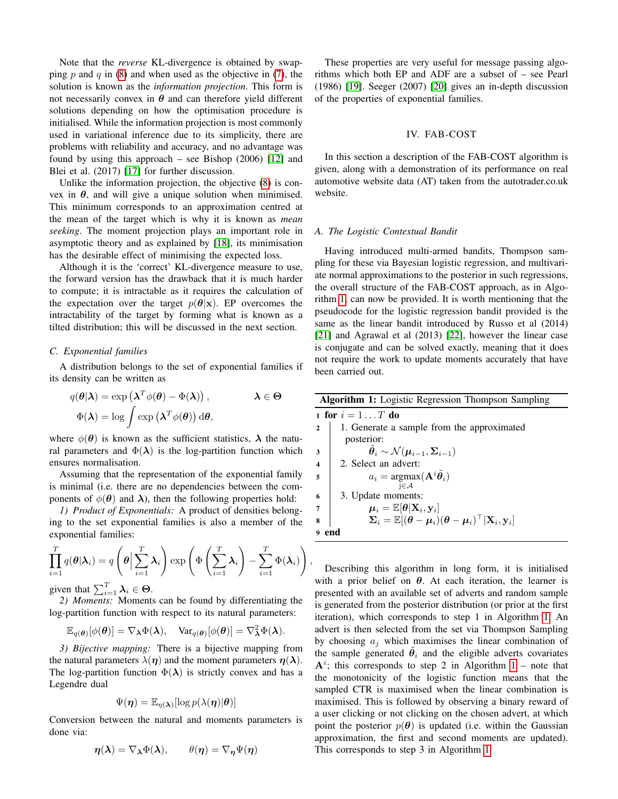Note that the *reverse* KL-divergence is obtained by swap-ping p and q in [\(8\)](#page-2-6) and when used as the objective in [\(7\)](#page-2-5), the solution is known as the *information projection*. This form is not necessarily convex in  $\theta$  and can therefore yield different solutions depending on how the optimisation procedure is initialised. While the information projection is most commonly used in variational inference due to its simplicity, there are problems with reliability and accuracy, and no advantage was found by using this approach – see Bishop (2006) [\[12\]](#page-9-1) and Blei et al. (2017) [\[17\]](#page-9-6) for further discussion.

Unlike the information projection, the objective [\(8\)](#page-2-6) is convex in  $\theta$ , and will give a unique solution when minimised. This minimum corresponds to an approximation centred at the mean of the target which is why it is known as *mean seeking*. The moment projection plays an important role in asymptotic theory and as explained by [\[18\]](#page-9-7), its minimisation has the desirable effect of minimising the expected loss.

Although it is the 'correct' KL-divergence measure to use, the forward version has the drawback that it is much harder to compute; it is intractable as it requires the calculation of the expectation over the target  $p(\theta|\mathbf{x})$ . EP overcomes the intractability of the target by forming what is known as a tilted distribution; this will be discussed in the next section.

## <span id="page-3-2"></span>*C. Exponential families*

A distribution belongs to the set of exponential families if its density can be written as

$$
q(\boldsymbol{\theta}|\boldsymbol{\lambda}) = \exp(\boldsymbol{\lambda}^T \phi(\boldsymbol{\theta}) - \Phi(\boldsymbol{\lambda})), \qquad \boldsymbol{\lambda} \in \boldsymbol{\Theta}
$$

$$
\Phi(\boldsymbol{\lambda}) = \log \int \exp(\boldsymbol{\lambda}^T \phi(\boldsymbol{\theta})) \, d\boldsymbol{\theta},
$$

where  $\phi(\theta)$  is known as the sufficient statistics,  $\lambda$  the natural parameters and  $\Phi(\lambda)$  is the log-partition function which ensures normalisation.

Assuming that the representation of the exponential family is minimal (i.e. there are no dependencies between the components of  $\phi(\theta)$  and  $\lambda$ ), then the following properties hold:

<span id="page-3-3"></span>*1) Product of Exponentials:* A product of densities belonging to the set exponential families is also a member of the exponential families:

$$
\prod_{i=1}^{T} q(\theta | \lambda_i) = q\left(\theta \Big| \sum_{i=1}^{T} \lambda_i\right) \exp\left(\Phi\left(\sum_{i=1}^{T} \lambda_i\right) - \sum_{i=1}^{T} \Phi(\lambda_i)\right)
$$

<span id="page-3-1"></span>,

given that  $\sum_{i=1}^{T} \lambda_i \in \Theta$ .

<span id="page-3-4"></span>*2) Moments:* Moments can be found by differentiating the log-partition function with respect to its natural parameters:

$$
\mathbb{E}_{q(\boldsymbol{\theta})}[\phi(\boldsymbol{\theta})] = \nabla_{\boldsymbol{\lambda}} \Phi(\boldsymbol{\lambda}), \quad \text{Var}_{q(\boldsymbol{\theta})}[\phi(\boldsymbol{\theta})] = \nabla_{\boldsymbol{\lambda}}^2 \Phi(\boldsymbol{\lambda}).
$$

*3) Bijective mapping:* There is a bijective mapping from the natural parameters  $\lambda(\eta)$  and the moment parameters  $\eta(\lambda)$ . The log-partition function  $\Phi(\lambda)$  is strictly convex and has a Legendre dual

$$
\Psi(\boldsymbol{\eta}) = \mathbb{E}_{\boldsymbol{\eta}(\boldsymbol{\lambda})}[\log p(\lambda(\boldsymbol{\eta})|\boldsymbol{\theta})]
$$

Conversion between the natural and moments parameters is done via:

$$
\boldsymbol{\eta}(\boldsymbol{\lambda}) = \nabla_{\boldsymbol{\lambda}} \Phi(\boldsymbol{\lambda}), \qquad \theta(\boldsymbol{\eta}) = \nabla_{\boldsymbol{\eta}} \Psi(\boldsymbol{\eta})
$$

These properties are very useful for message passing algorithms which both EP and ADF are a subset of – see Pearl (1986) [\[19\]](#page-9-8). Seeger (2007) [\[20\]](#page-9-9) gives an in-depth discussion of the properties of exponential families.

## IV. FAB-COST

<span id="page-3-0"></span>In this section a description of the FAB-COST algorithm is given, along with a demonstration of its performance on real automotive website data (AT) taken from the autotrader.co.uk website.

#### *A. The Logistic Contextual Bandit*

Having introduced multi-armed bandits, Thompson sampling for these via Bayesian logistic regression, and multivariate normal approximations to the posterior in such regressions, the overall structure of the FAB-COST approach, as in Algorithm [1,](#page-3-1) can now be provided. It is worth mentioning that the pseudocode for the logistic regression bandit provided is the same as the linear bandit introduced by Russo et al (2014) [\[21\]](#page-9-10) and Agrawal et al (2013) [\[22\]](#page-9-11), however the linear case is conjugate and can be solved exactly, meaning that it does not require the work to update moments accurately that have been carried out.

| <b>Algorithm 1:</b> Logistic Regression Thompson Sampling |                                                                                                                                                                |  |
|-----------------------------------------------------------|----------------------------------------------------------------------------------------------------------------------------------------------------------------|--|
| 1 for $i=1T$ do                                           |                                                                                                                                                                |  |
|                                                           | 1. Generate a sample from the approximated                                                                                                                     |  |
|                                                           | posterior:                                                                                                                                                     |  |
| 3                                                         | $\tilde{\theta}_i \sim \mathcal{N}(\mu_{i-1}, \Sigma_{i-1})$                                                                                                   |  |
| $\overline{\mathbf{4}}$                                   | 2. Select an advert:                                                                                                                                           |  |
| 5                                                         | $a_i = \text{argmax}(\mathbf{A}^i \tilde{\boldsymbol{\theta}}_i)$                                                                                              |  |
|                                                           | $i \in \mathcal{A}$                                                                                                                                            |  |
| 6                                                         | 3. Update moments:                                                                                                                                             |  |
|                                                           | $\mu_i = \mathbb{E}[\theta \mathbf{X}_i, \mathbf{y}_i]$                                                                                                        |  |
|                                                           | $\boldsymbol{\Sigma}_i = \mathbb{E}[ (\boldsymbol{\theta} - \boldsymbol{\mu}_i) (\boldsymbol{\theta} - \boldsymbol{\mu}_i)^\top   \mathbf{X}_i, \mathbf{y}_i]$ |  |
|                                                           |                                                                                                                                                                |  |

Describing this algorithm in long form, it is initialised with a prior belief on  $\theta$ . At each iteration, the learner is presented with an available set of adverts and random sample is generated from the posterior distribution (or prior at the first iteration), which corresponds to step 1 in Algorithm [1.](#page-3-1) An advert is then selected from the set via Thompson Sampling by choosing  $a_i$  which maximises the linear combination of the sample generated  $\tilde{\theta}_i$  and the eligible adverts covariates  $A^i$ ; this corresponds to step 2 in Algorithm [1](#page-3-1) – note that the monotonicity of the logistic function means that the sampled CTR is maximised when the linear combination is maximised. This is followed by observing a binary reward of a user clicking or not clicking on the chosen advert, at which point the posterior  $p(\theta)$  is updated (i.e. within the Gaussian approximation, the first and second moments are updated). This corresponds to step 3 in Algorithm [1.](#page-3-1)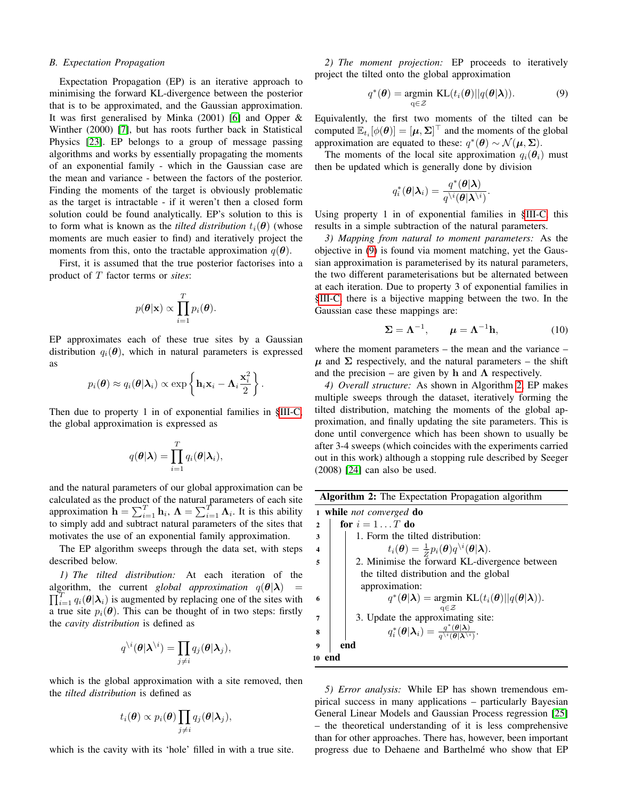#### *B. Expectation Propagation*

Expectation Propagation (EP) is an iterative approach to minimising the forward KL-divergence between the posterior that is to be approximated, and the Gaussian approximation. It was first generalised by Minka (2001) [\[6\]](#page-8-5) and Opper & Winther (2000) [\[7\]](#page-8-6), but has roots further back in Statistical Physics [\[23\]](#page-9-12). EP belongs to a group of message passing algorithms and works by essentially propagating the moments of an exponential family - which in the Gaussian case are the mean and variance - between the factors of the posterior. Finding the moments of the target is obviously problematic as the target is intractable - if it weren't then a closed form solution could be found analytically. EP's solution to this is to form what is known as the *tilted distribution*  $t_i(\theta)$  (whose moments are much easier to find) and iteratively project the moments from this, onto the tractable approximation  $q(\theta)$ .

First, it is assumed that the true posterior factorises into a product of T factor terms or *sites*:

$$
p(\boldsymbol{\theta}|\mathbf{x}) \propto \prod_{i=1}^{T} p_i(\boldsymbol{\theta}).
$$

EP approximates each of these true sites by a Gaussian distribution  $q_i(\boldsymbol{\theta})$ , which in natural parameters is expressed as

$$
p_i(\boldsymbol{\theta}) \approx q_i(\boldsymbol{\theta}|\boldsymbol{\lambda}_i) \propto \exp\left\{\mathbf{h}_i\mathbf{x}_i - \boldsymbol{\Lambda}_i\frac{\mathbf{x}_i^2}{2}\right\}.
$$

Then due to property 1 in of exponential families in [§III-C,](#page-3-2) the global approximation is expressed as

$$
q(\boldsymbol{\theta}|\boldsymbol{\lambda}) = \prod_{i=1}^T q_i(\boldsymbol{\theta}|\boldsymbol{\lambda}_i),
$$

and the natural parameters of our global approximation can be calculated as the product of the natural parameters of each site approximation  $\mathbf{h} = \sum_{i=1}^{T} \mathbf{h}_i$ ,  $\mathbf{\Lambda} = \sum_{i=1}^{T} \mathbf{\Lambda}_i$ . It is this ability to simply add and subtract natural parameters of the sites that motivates the use of an exponential family approximation.

The EP algorithm sweeps through the data set, with steps described below.

*1) The tilted distribution:* At each iteration of the algorithm, the current *global approximation*  $q(\theta|\lambda)$  =  $\prod_{i=1}^{T} q_i(\theta | \lambda_i)$  is augmented by replacing one of the sites with a true site  $p_i(\theta)$ . This can be thought of in two steps: firstly the *cavity distribution* is defined as

$$
q^{\setminus i}(\boldsymbol{\theta}|\boldsymbol{\lambda}^{\setminus i})=\prod_{j\neq i}q_j(\boldsymbol{\theta}|\boldsymbol{\lambda}_j),
$$

which is the global approximation with a site removed, then the *tilted distribution* is defined as

$$
t_i(\boldsymbol{\theta}) \propto p_i(\boldsymbol{\theta}) \prod_{j \neq i} q_j(\boldsymbol{\theta} | \boldsymbol{\lambda}_j),
$$

which is the cavity with its 'hole' filled in with a true site.

*2) The moment projection:* EP proceeds to iteratively project the tilted onto the global approximation

<span id="page-4-0"></span>
$$
q^*(\boldsymbol{\theta}) = \underset{\mathbf{q} \in \mathcal{Z}}{\operatorname{argmin}} \ \mathrm{KL}(t_i(\boldsymbol{\theta}) || q(\boldsymbol{\theta} | \boldsymbol{\lambda})). \tag{9}
$$

Equivalently, the first two moments of the tilted can be computed  $\mathbb{E}_{t_i}[\phi(\theta)] = [\mu, \Sigma]^{\top}$  and the moments of the global approximation are equated to these:  $q^*(\theta) \sim \mathcal{N}(\mu, \Sigma)$ .

The moments of the local site approximation  $q_i(\theta_i)$  must then be updated which is generally done by division

$$
q_i^*(\boldsymbol\theta|\boldsymbol\lambda_i) = \frac{q^*(\boldsymbol\theta|\boldsymbol\lambda)}{q^{\backslash i}(\boldsymbol\theta|\boldsymbol\lambda^{\backslash i})}.
$$

Using property 1 in of exponential families in [§III-C,](#page-3-2) this results in a simple subtraction of the natural parameters.

*3) Mapping from natural to moment parameters:* As the objective in [\(9\)](#page-4-0) is found via moment matching, yet the Gaussian approximation is parameterised by its natural parameters, the two different parameterisations but be alternated between at each iteration. Due to property 3 of exponential families in [§III-C,](#page-3-2) there is a bijective mapping between the two. In the Gaussian case these mappings are:

<span id="page-4-2"></span>
$$
\Sigma = \Lambda^{-1}, \qquad \mu = \Lambda^{-1} \mathbf{h}, \tag{10}
$$

where the moment parameters – the mean and the variance –  $\mu$  and  $\Sigma$  respectively, and the natural parameters – the shift and the precision – are given by h and  $\Lambda$  respectively.

*4) Overall structure:* As shown in Algorithm [2,](#page-4-1) EP makes multiple sweeps through the dataset, iteratively forming the tilted distribution, matching the moments of the global approximation, and finally updating the site parameters. This is done until convergence which has been shown to usually be after 3-4 sweeps (which coincides with the experiments carried out in this work) although a stopping rule described by Seeger (2008) [\[24\]](#page-9-13) can also be used.

| <b>Algorithm 2:</b> The Expectation Propagation algorithm |                                                                                                                    |
|-----------------------------------------------------------|--------------------------------------------------------------------------------------------------------------------|
| while <i>not converged</i> <b>do</b><br>1                 |                                                                                                                    |
| $\overline{2}$                                            | for $i = 1 \dots T$ do                                                                                             |
| 3                                                         | 1. Form the tilted distribution:                                                                                   |
| $\boldsymbol{4}$                                          | $t_i(\boldsymbol{\theta}) = \frac{1}{2} p_i(\boldsymbol{\theta}) q^{i}(\boldsymbol{\theta} \boldsymbol{\lambda}).$ |
| 5                                                         | 2. Minimise the forward KL-divergence between                                                                      |
|                                                           | the tilted distribution and the global                                                                             |
|                                                           | approximation:                                                                                                     |
| 6                                                         | $q^*(\theta \lambda)$ = argmin KL $(t_i(\theta)  q(\theta \lambda)).$                                              |
|                                                           | $a \in \mathcal{Z}$                                                                                                |
|                                                           | 3. Update the approximating site:                                                                                  |
| 8                                                         | $q_i^*(\theta \lambda_i) = \frac{q^*(\theta \lambda)}{q^{\setminus i}(\theta \lambda)^{i}}.$                       |
|                                                           | end                                                                                                                |
| 10 end                                                    |                                                                                                                    |
|                                                           |                                                                                                                    |

<span id="page-4-1"></span>*5) Error analysis:* While EP has shown tremendous empirical success in many applications – particularly Bayesian General Linear Models and Gaussian Process regression [\[25\]](#page-9-14) – the theoretical understanding of it is less comprehensive than for other approaches. There has, however, been important progress due to Dehaene and Barthelmé who show that EP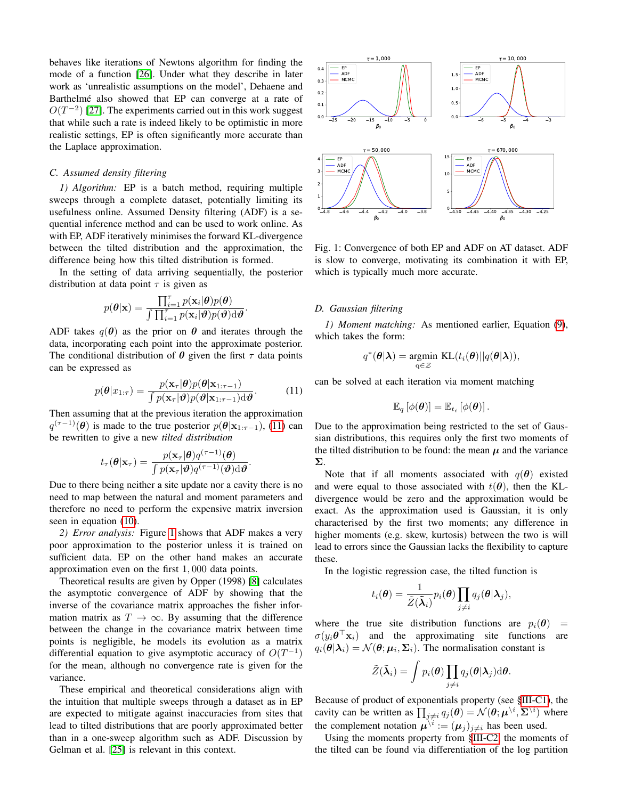behaves like iterations of Newtons algorithm for finding the mode of a function [\[26\]](#page-9-15). Under what they describe in later work as 'unrealistic assumptions on the model', Dehaene and Barthelmé also showed that EP can converge at a rate of  $O(T^{-2})$  [\[27\]](#page-9-16). The experiments carried out in this work suggest that while such a rate is indeed likely to be optimistic in more realistic settings, EP is often significantly more accurate than the Laplace approximation.

# *C. Assumed density filtering*

*1) Algorithm:* EP is a batch method, requiring multiple sweeps through a complete dataset, potentially limiting its usefulness online. Assumed Density filtering (ADF) is a sequential inference method and can be used to work online. As with EP, ADF iteratively minimises the forward KL-divergence between the tilted distribution and the approximation, the difference being how this tilted distribution is formed.

In the setting of data arriving sequentially, the posterior distribution at data point  $\tau$  is given as

$$
p(\boldsymbol{\theta}|\mathbf{x}) = \frac{\prod_{i=1}^{r} p(\mathbf{x}_i|\boldsymbol{\theta})p(\boldsymbol{\theta})}{\int \prod_{i=1}^{r} p(\mathbf{x}_i|\boldsymbol{\theta})p(\boldsymbol{\theta})d\boldsymbol{\theta}}.
$$

ADF takes  $q(\theta)$  as the prior on  $\theta$  and iterates through the data, incorporating each point into the approximate posterior. The conditional distribution of  $\theta$  given the first  $\tau$  data points can be expressed as

<span id="page-5-0"></span>
$$
p(\boldsymbol{\theta}|\boldsymbol{x}_{1:\tau}) = \frac{p(\mathbf{x}_{\tau}|\boldsymbol{\theta})p(\boldsymbol{\theta}|\mathbf{x}_{1:\tau-1})}{\int p(\mathbf{x}_{\tau}|\boldsymbol{\vartheta})p(\boldsymbol{\vartheta}|\mathbf{x}_{1:\tau-1})d\boldsymbol{\vartheta}}.
$$
 (11)

.

Then assuming that at the previous iteration the approximation  $q^{(\tau-1)}(\boldsymbol{\theta})$  is made to the true posterior  $p(\boldsymbol{\theta}|\mathbf{x}_{1:\tau-1})$ , [\(11\)](#page-5-0) can be rewritten to give a new *tilted distribution*

$$
t_{\tau}(\boldsymbol{\theta}|\mathbf{x}_{\tau}) = \frac{p(\mathbf{x}_{\tau}|\boldsymbol{\theta})q^{(\tau-1)}(\boldsymbol{\theta})}{\int p(\mathbf{x}_{\tau}|\boldsymbol{\vartheta})q^{(\tau-1)}(\boldsymbol{\vartheta})d\boldsymbol{\vartheta}}
$$

Due to there being neither a site update nor a cavity there is no need to map between the natural and moment parameters and therefore no need to perform the expensive matrix inversion seen in equation [\(10\)](#page-4-2).

*2) Error analysis:* Figure [1](#page-5-1) shows that ADF makes a very poor approximation to the posterior unless it is trained on sufficient data. EP on the other hand makes an accurate approximation even on the first 1, 000 data points.

Theoretical results are given by Opper (1998) [\[8\]](#page-8-7) calculates the asymptotic convergence of ADF by showing that the inverse of the covariance matrix approaches the fisher information matrix as  $T \to \infty$ . By assuming that the difference between the change in the covariance matrix between time points is negligible, he models its evolution as a matrix differential equation to give asymptotic accuracy of  $O(T^{-1})$ for the mean, although no convergence rate is given for the variance. that while such are not indeed likely to be optimistic in more than the such as a context in the context of the summer of entails of the phase approximation.<br>  $\therefore$  *C. Assumed density filtering* in this context. potentia

These empirical and theoretical considerations align with the intuition that multiple sweeps through a dataset as in EP are expected to mitigate against inaccuracies from sites that lead to tilted distributions that are poorly approximated better than in a one-sweep algorithm such as ADF. Discussion by

<span id="page-5-1"></span>

Fig. 1: Convergence of both EP and ADF on AT dataset. ADF is slow to converge, motivating its combination it with EP, which is typically much more accurate.

## *D. Gaussian filtering*

*1) Moment matching:* As mentioned earlier, Equation [\(9\)](#page-4-0), which takes the form:

$$
q^*(\boldsymbol{\theta}|\boldsymbol{\lambda}) = \underset{\mathbf{q} \in \mathcal{Z}}{\text{argmin }} \mathrm{KL}(t_i(\boldsymbol{\theta}) || q(\boldsymbol{\theta}|\boldsymbol{\lambda})),
$$

can be solved at each iteration via moment matching

$$
\mathbb{E}_q\left[\phi(\boldsymbol{\theta})\right] = \mathbb{E}_{t_i}\left[\phi(\boldsymbol{\theta})\right].
$$

Due to the approximation being restricted to the set of Gaussian distributions, this requires only the first two moments of the tilted distribution to be found: the mean  $\mu$  and the variance Σ.

Note that if all moments associated with  $q(\theta)$  existed and were equal to those associated with  $t(\theta)$ , then the KLdivergence would be zero and the approximation would be exact. As the approximation used is Gaussian, it is only characterised by the first two moments; any difference in higher moments (e.g. skew, kurtosis) between the two is will lead to errors since the Gaussian lacks the flexibility to capture these.

In the logistic regression case, the tilted function is

$$
t_i(\boldsymbol{\theta}) = \frac{1}{\tilde{Z}(\tilde{\boldsymbol{\lambda}}_i)} p_i(\boldsymbol{\theta}) \prod_{j \neq i} q_j(\boldsymbol{\theta} | \boldsymbol{\lambda}_j),
$$

where the true site distribution functions are  $p_i(\theta)$  =  $\sigma(y_i \theta^\top \mathbf{x}_i)$  and the approximating site functions are  $q_i(\theta|\lambda_i) = \mathcal{N}(\theta; \mu_i, \Sigma_i)$ . The normalisation constant is

$$
\tilde{Z}(\tilde{\boldsymbol{\lambda}}_i)=\int p_i(\boldsymbol{\theta})\prod_{j\neq i}q_j(\boldsymbol{\theta}|\boldsymbol{\lambda}_j)\mathrm{d}\boldsymbol{\theta}.
$$

Because of product of exponentials property (see [§III-C1\)](#page-3-3), the cavity can be written as  $\prod_{j\neq i} q_j(\theta) = \mathcal{N}(\theta; \mu^{\setminus i}, \Sigma^{\setminus i})$  where the complement notation  $\mu^{i} := (\mu_j)_{j \neq i}$  has been used.

Using the moments property from [§III-C2,](#page-3-4) the moments of the tilted can be found via differentiation of the log partition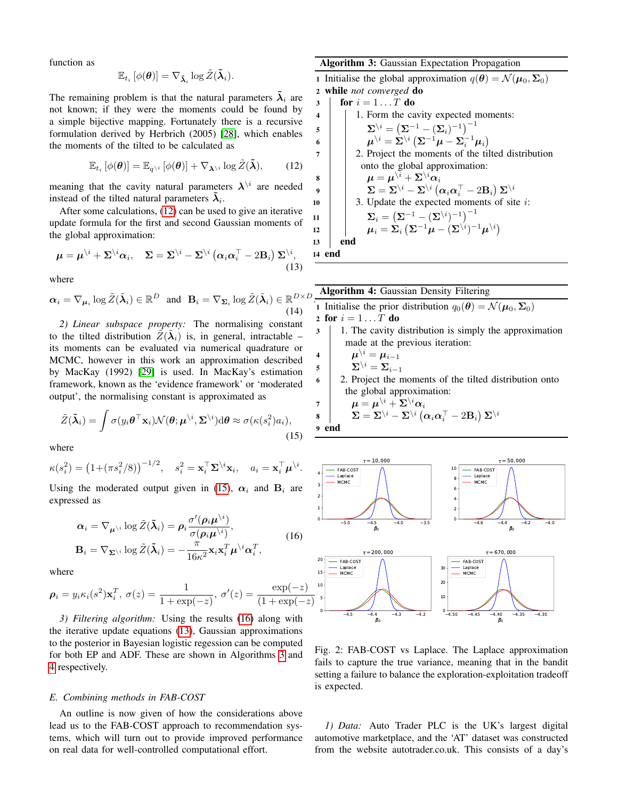function as

$$
\mathbb{E}_{t_i} \left[ \phi(\boldsymbol{\theta}) \right] = \nabla_{\boldsymbol{\tilde{\lambda}}_i} \log \tilde{Z}(\boldsymbol{\tilde{\lambda}}_i).
$$

The remaining problem is that the natural parameters  $\tilde{\lambda}_i$  are not known; if they were the moments could be found by a simple bijective mapping. Fortunately there is a recursive formulation derived by Herbrich (2005) [\[28\]](#page-9-17), which enables the moments of the tilted to be calculated as

<span id="page-6-0"></span>
$$
\mathbb{E}_{t_i} \left[ \phi(\boldsymbol{\theta}) \right] = \mathbb{E}_{q^{\setminus i}} \left[ \phi(\boldsymbol{\theta}) \right] + \nabla_{\boldsymbol{\lambda}^{\setminus i}} \log \tilde{Z}(\tilde{\boldsymbol{\lambda}}), \qquad (12)
$$

meaning that the cavity natural parameters  $\lambda^{i}$  are needed instead of the tilted natural parameters  $\tilde{\lambda}_i$ .

After some calculations, [\(12\)](#page-6-0) can be used to give an iterative update formula for the first and second Gaussian moments of the global approximation:

<span id="page-6-3"></span>
$$
\boldsymbol{\mu} = \boldsymbol{\mu}^{\backslash i} + \boldsymbol{\Sigma}^{\backslash i} \boldsymbol{\alpha}_i, \quad \boldsymbol{\Sigma} = \boldsymbol{\Sigma}^{\backslash i} - \boldsymbol{\Sigma}^{\backslash i} \left( \boldsymbol{\alpha}_i \boldsymbol{\alpha}_i^{\top} - 2 \mathbf{B}_i \right) \boldsymbol{\Sigma}^{\backslash i}, \tag{13}
$$

where

$$
\boldsymbol{\alpha}_i = \nabla_{\boldsymbol{\mu}_i} \log \tilde{Z}(\tilde{\boldsymbol{\lambda}}_i) \in \mathbb{R}^D \text{ and } \mathbf{B}_i = \nabla_{\boldsymbol{\Sigma}_i} \log \tilde{Z}(\tilde{\boldsymbol{\lambda}}_i) \in \mathbb{R}^{D \times D}
$$
\n(14)

*2) Linear subspace property:* The normalising constant to the tilted distribution  $\tilde{Z}(\tilde{\lambda}_i)$  is, in general, intractable – its moments can be evaluated via numerical quadrature or MCMC, however in this work an approximation described by MacKay (1992) [\[29\]](#page-9-18) is used. In MacKay's estimation framework, known as the 'evidence framework' or 'moderated output', the normalising constant is approximated as

<span id="page-6-1"></span>
$$
\tilde{Z}(\tilde{\boldsymbol{\lambda}}_i) = \int \sigma(y_i \boldsymbol{\theta}^\top \mathbf{x}_i) \mathcal{N}(\boldsymbol{\theta}; \boldsymbol{\mu}^{\backslash i}, \boldsymbol{\Sigma}^{\backslash i}) d\boldsymbol{\theta} \approx \sigma(\kappa(s_i^2) a_i),
$$
\n(15)

where

$$
\kappa(s_i^2) = \left(1 + (\pi s_i^2/8)\right)^{-1/2}, \quad s_i^2 = \mathbf{x}_i^{\top} \mathbf{\Sigma}^{\backslash i} \mathbf{x}_i, \quad a_i = \mathbf{x}_i^{\top} \boldsymbol{\mu}^{\backslash i}.
$$

Using the moderated output given in [\(15\)](#page-6-1),  $\alpha_i$  and  $B_i$  are expressed as

<span id="page-6-2"></span>
$$
\alpha_i = \nabla_{\mu^{\setminus i}} \log \tilde{Z}(\tilde{\lambda}_i) = \rho_i \frac{\sigma'(\rho_i \mu^{\setminus i})}{\sigma(\rho_i \mu^{\setminus i})},
$$
  
\n
$$
B_i = \nabla_{\Sigma^{\setminus i}} \log \tilde{Z}(\tilde{\lambda}_i) = -\frac{\pi}{16\kappa^2} x_i x_i^T \mu^{\setminus i} \alpha_i^T,
$$
\n(16)

where

$$
\boldsymbol{\rho}_i = y_i \kappa_i(s^2) \mathbf{x}_i^T, \ \sigma(z) = \frac{1}{1 + \exp(-z)}, \ \sigma'(z) = \frac{\exp(-z)}{(1 + \exp(-z))} \int_0^{10} \sigma'(z) \, dz
$$

*3) Filtering algorithm:* Using the results [\(16\)](#page-6-2) along with the iterative update equations [\(13\)](#page-6-3), Gaussian approximations to the posterior in Bayesian logistic regession can be computed for both EP and ADF. These are shown in Algorithms [3](#page-6-4) and [4](#page-6-5) respectively.

# *E. Combining methods in FAB-COST*

An outline is now given of how the considerations above lead us to the FAB-COST approach to recommendation systems, which will turn out to provide improved performance on real data for well-controlled computational effort.

# Algorithm 3: Gaussian Expectation Propagation

1 Initialise the global approximation  $q(\theta) = \mathcal{N}(\mu_0, \Sigma_0)$ <sup>2</sup> while *not converged* do

3 **for** 
$$
i = 1...T
$$
 **do**  
\n4 **1.** Form the cavity expected moments:  
\n5  $\Sigma^{\backslash i} = (\Sigma^{-1} - (\Sigma_i)^{-1})^{-1}$   
\n6  $\mu^{\backslash i} = \Sigma^{\backslash i} (\Sigma^{-1} \mu - \Sigma_i^{-1} \mu_i)$   
\n7 **2.** Project the moments of the tilted distribution  
\nonto the global approximation:  
\n9  $\mu = \mu^{\backslash i} + \Sigma^{\backslash i} \alpha_i$   
\n10  $\mu = \mu^{\backslash i} + \Sigma^{\backslash i} \alpha_i$   
\n2.  $\Sigma^{\backslash i} = (\Sigma^{\backslash i} - \Sigma^{\backslash i} (\alpha_i \alpha_i^T - 2B_i) \Sigma^{\backslash i}$   
\n2.  $\Sigma^{\backslash i} = (\Sigma^{\backslash i})^{-1})^{-1}$   
\n3. Update the expected moments of site *i*:  
\n11  $\Sigma_i = (\Sigma^{-1} - (\Sigma^{\backslash i})^{-1})^{-1}$   
\n12  $\mu_i = \Sigma_i (\Sigma^{-1} \mu - (\Sigma^{\backslash i})^{-1} \mu^{\backslash i})$   
\n13 **end**

Algorithm 4: Gaussian Density Filtering

\n- 1 Initialize the prior distribution 
$$
q_0(\theta) = \mathcal{N}(\mu_0, \Sigma_0)
$$
\n- 2 for  $i = 1 \ldots T$  do
\n- 3 | 1. The cavity distribution is simply the approximation
\n

made at the previous iteration:

$$
\begin{array}{c|c} \mathbf{4} & \mathbf{\mu}^{\backslash i} = \mathbf{\mu}_{i-1} \\ \mathbf{5} & \mathbf{\Sigma}^{\backslash i} = \mathbf{\Sigma}_{i-1} \end{array}
$$

<span id="page-6-4"></span> $13$  $14<sup>-1</sup>$ 

> <sup>6</sup> 2. Project the moments of the tilted distribution onto the global approximation:

$$
\begin{array}{c}\n\mathbf{7} \\
\mathbf{8} \\
\mathbf{9} \\
\mathbf{9} \\
\mathbf{10}\n\end{array}\n\quad\n\begin{array}{c}\n\mathbf{4} = \mathbf{\mu}^{\setminus i} + \mathbf{\Sigma}^{\setminus i} \alpha_i \\
\mathbf{\Sigma} = \mathbf{\Sigma}^{\setminus i} - \mathbf{\Sigma}^{\setminus i} \left( \alpha_i \alpha_i^\top - 2 \mathbf{B}_i \right) \mathbf{\Sigma}^{\setminus i} \\
\mathbf{9} \\
\mathbf{10}\n\end{array}
$$

<span id="page-6-5"></span>

<span id="page-6-6"></span>

Fig. 2: FAB-COST vs Laplace. The Laplace approximation fails to capture the true variance, meaning that in the bandit setting a failure to balance the exploration-exploitation tradeoff is expected.

*1) Data:* Auto Trader PLC is the UK's largest digital automotive marketplace, and the 'AT' dataset was constructed from the website autotrader.co.uk. This consists of a day's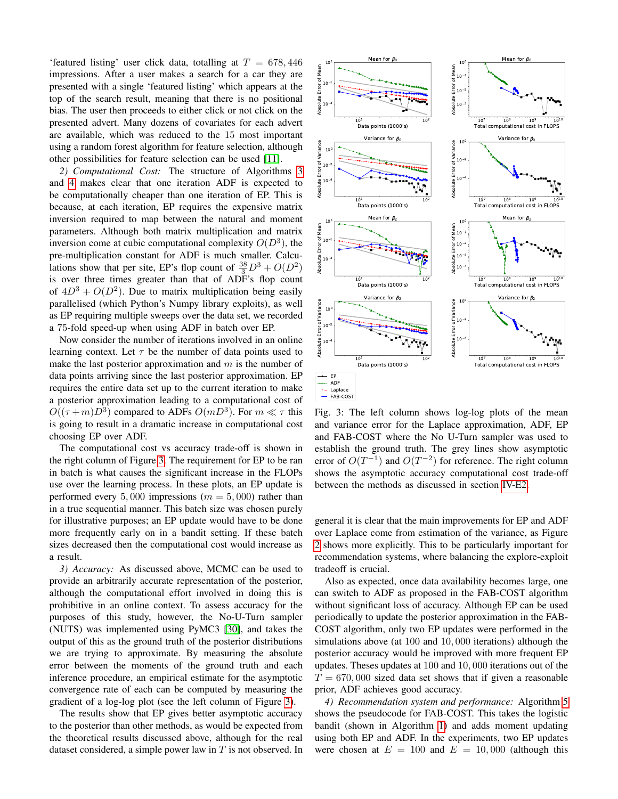'featured listing' user click data, totalling at  $T = 678,446$ impressions. After a user makes a search for a car they are presented with a single 'featured listing' which appears at the top of the search result, meaning that there is no positional bias. The user then proceeds to either click or not click on the presented advert. Many dozens of covariates for each advert are available, which was reduced to the 15 most important using a random forest algorithm for feature selection, although other possibilities for feature selection can be used [\[11\]](#page-9-0).

<span id="page-7-1"></span>*2) Computational Cost:* The structure of Algorithms [3](#page-6-4) and [4](#page-6-5) makes clear that one iteration ADF is expected to be computationally cheaper than one iteration of EP. This is because, at each iteration, EP requires the expensive matrix inversion required to map between the natural and moment parameters. Although both matrix multiplication and matrix inversion come at cubic computational complexity  $O(D^3)$ , the pre-multiplication constant for ADF is much smaller. Calculations show that per site, EP's flop count of  $\frac{38}{3}D^3 + O(D^2)$ is over three times greater than that of ADF's flop count of  $4D^3 + O(D^2)$ . Due to matrix multiplication being easily parallelised (which Python's Numpy library exploits), as well as EP requiring multiple sweeps over the data set, we recorded a 75-fold speed-up when using ADF in batch over EP. presented down of considered in each above that  $\frac{1}{2}$  is not observed. Many dozen in the construct such as a simple power lay in the presented power lay in the state of the state of Alexander Considered in the state o

Now consider the number of iterations involved in an online learning context. Let  $\tau$  be the number of data points used to make the last posterior approximation and  $m$  is the number of data points arriving since the last posterior approximation. EP requires the entire data set up to the current iteration to make a posterior approximation leading to a computational cost of  $O((\tau+m)D^3)$  compared to ADFs  $O(mD^3)$ . For  $m \ll \tau$  this is going to result in a dramatic increase in computational cost choosing EP over ADF.

The computational cost vs accuracy trade-off is shown in the right column of Figure [3.](#page-7-0) The requirement for EP to be ran in batch is what causes the significant increase in the FLOPs use over the learning process. In these plots, an EP update is performed every 5,000 impressions ( $m = 5,000$ ) rather than in a true sequential manner. This batch size was chosen purely for illustrative purposes; an EP update would have to be done more frequently early on in a bandit setting. If these batch sizes decreased then the computational cost would increase as a result.

*3) Accuracy:* As discussed above, MCMC can be used to provide an arbitrarily accurate representation of the posterior, although the computational effort involved in doing this is prohibitive in an online context. To assess accuracy for the purposes of this study, however, the No-U-Turn sampler (NUTS) was implemented using PyMC3 [\[30\]](#page-9-19), and takes the output of this as the ground truth of the posterior distributions we are trying to approximate. By measuring the absolute error between the moments of the ground truth and each inference procedure, an empirical estimate for the asymptotic convergence rate of each can be computed by measuring the gradient of a log-log plot (see the left column of Figure [3\)](#page-7-0).

The results show that EP gives better asymptotic accuracy to the posterior than other methods, as would be expected from the theoretical results discussed above, although for the real

<span id="page-7-0"></span>

Fig. 3: The left column shows log-log plots of the mean and variance error for the Laplace approximation, ADF, EP and FAB-COST where the No U-Turn sampler was used to establish the ground truth. The grey lines show asymptotic error of  $O(T^{-1})$  and  $O(T^{-2})$  for reference. The right column shows the asymptotic accuracy computational cost trade-off between the methods as discussed in section [IV-E2.](#page-7-1)

general it is clear that the main improvements for EP and ADF over Laplace come from estimation of the variance, as Figure [2](#page-6-6) shows more explicitly. This to be particularly important for recommendation systems, where balancing the explore-exploit tradeoff is crucial.

Also as expected, once data availability becomes large, one can switch to ADF as proposed in the FAB-COST algorithm without significant loss of accuracy. Although EP can be used periodically to update the posterior approximation in the FAB-COST algorithm, only two EP updates were performed in the simulations above (at 100 and 10, 000 iterations) although the posterior accuracy would be improved with more frequent EP updates. Theses updates at 100 and 10, 000 iterations out of the  $T = 670,000$  sized data set shows that if given a reasonable prior, ADF achieves good accuracy.

*4) Recommendation system and performance:* Algorithm [5](#page-8-11) shows the pseudocode for FAB-COST. This takes the logistic bandit (shown in Algorithm [1\)](#page-3-1) and adds moment updating using both EP and ADF. In the experiments, two EP updates were chosen at  $E = 100$  and  $E = 10,000$  (although this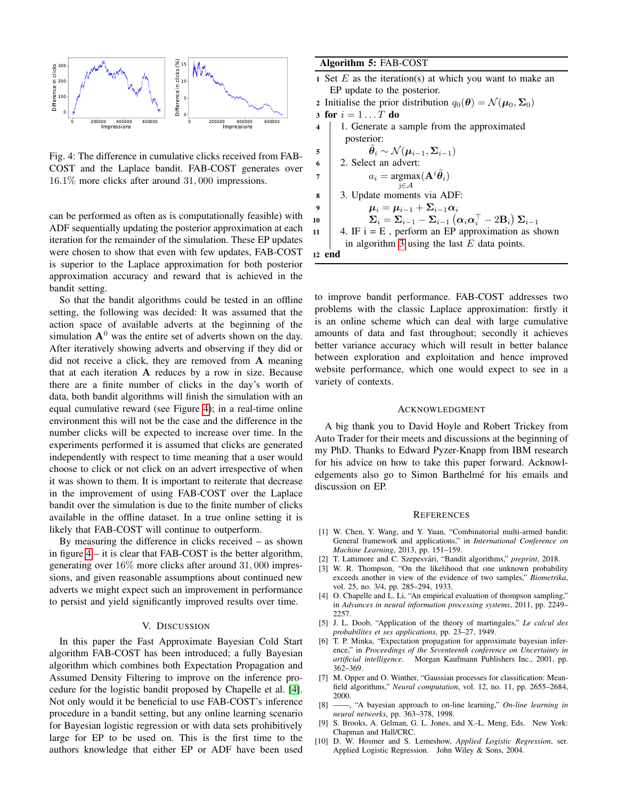<span id="page-8-12"></span>

Fig. 4: The difference in cumulative clicks received from FAB-COST and the Laplace bandit. FAB-COST generates over 16.1% more clicks after around 31, 000 impressions.

can be performed as often as is computationally feasible) with ADF sequentially updating the posterior approximation at each iteration for the remainder of the simulation. These EP updates were chosen to show that even with few updates, FAB-COST is superior to the Laplace approximation for both posterior approximation accuracy and reward that is achieved in the bandit setting.

So that the bandit algorithms could be tested in an offline setting, the following was decided: It was assumed that the action space of available adverts at the beginning of the simulation  $A^0$  was the entire set of adverts shown on the day. After iteratively showing adverts and observing if they did or did not receive a click, they are removed from A meaning that at each iteration A reduces by a row in size. Because there are a finite number of clicks in the day's worth of data, both bandit algorithms will finish the simulation with an equal cumulative reward (see Figure [4\)](#page-8-12); in a real-time online environment this will not be the case and the difference in the number clicks will be expected to increase over time. In the experiments performed it is assumed that clicks are generated independently with respect to time meaning that a user would choose to click or not click on an advert irrespective of when it was shown to them. It is important to reiterate that decrease in the improvement of using FAB-COST over the Laplace bandit over the simulation is due to the finite number of clicks available in the offline dataset. In a true online setting it is likely that FAB-COST will continue to outperform.

By measuring the difference in clicks received – as shown in figure [4](#page-8-12) – it is clear that FAB-COST is the better algorithm, generating over 16% more clicks after around 31, 000 impressions, and given reasonable assumptions about continued new adverts we might expect such an improvement in performance to persist and yield significantly improved results over time.

# V. DISCUSSION

<span id="page-8-9"></span>In this paper the Fast Approximate Bayesian Cold Start algorithm FAB-COST has been introduced; a fully Bayesian algorithm which combines both Expectation Propagation and Assumed Density Filtering to improve on the inference procedure for the logistic bandit proposed by Chapelle et al. [\[4\]](#page-8-3). Not only would it be beneficial to use FAB-COST's inference procedure in a bandit setting, but any online learning scenario for Bayesian logistic regression or with data sets prohibitively large for EP to be used on. This is the first time to the authors knowledge that either EP or ADF have been used

# Algorithm 5: FAB-COST

- 1 Set  $E$  as the iteration(s) at which you want to make an EP update to the posterior.
- 2 Initialise the prior distribution  $q_0(\boldsymbol{\theta}) = \mathcal{N}(\boldsymbol{\mu}_0, \boldsymbol{\Sigma}_0)$ 3 for  $i = 1 \dots T$  do 4 1. Generate a sample from the approximated posterior: 5  $\hat{\theta}$  $\ddot{\theta}_i \sim \mathcal{N}(\mu_{i-1}, \Sigma_{i-1})$ 6 2. Select an advert: 7 ai =  $a_i = \argmax(\mathbf{A}^i \tilde{\theta}_i)$
- j∈A 8 3. Update moments via ADF:
- 9  $\mu_i = \mu_{i-1} + \Sigma_{i-1} \alpha_i$ 10  $\qquad \qquad \boldsymbol{\Sigma}_i = \boldsymbol{\Sigma}_{i-1} - \boldsymbol{\Sigma}_{i-1} \left(\boldsymbol{\alpha}_i \boldsymbol{\alpha}_i^\top - 2 \mathbf{B}_i\right) \boldsymbol{\Sigma}_{i-1}$
- 11 | 4. IF  $i = E$ , perform an EP approximation as shown in algorithm [3](#page-6-4) using the last  $E$  data points.

<span id="page-8-11"></span>12 end

to improve bandit performance. FAB-COST addresses two problems with the classic Laplace approximation: firstly it is an online scheme which can deal with large cumulative amounts of data and fast throughout; secondly it achieves better variance accuracy which will result in better balance between exploration and exploitation and hence improved website performance, which one would expect to see in a variety of contexts.

#### ACKNOWLEDGMENT

A big thank you to David Hoyle and Robert Trickey from Auto Trader for their meets and discussions at the beginning of my PhD. Thanks to Edward Pyzer-Knapp from IBM research for his advice on how to take this paper forward. Acknowledgements also go to Simon Barthelmé for his emails and discussion on EP.

#### **REFERENCES**

- <span id="page-8-0"></span>[1] W. Chen, Y. Wang, and Y. Yuan, "Combinatorial multi-armed bandit: General framework and applications," in *International Conference on Machine Learning*, 2013, pp. 151–159.
- <span id="page-8-1"></span>[2] T. Lattimore and C. Szepesvári, "Bandit algorithms," preprint, 2018.
- <span id="page-8-2"></span>[3] W. R. Thompson, "On the likelihood that one unknown probability exceeds another in view of the evidence of two samples," *Biometrika*, vol. 25, no. 3/4, pp. 285–294, 1933.
- <span id="page-8-3"></span>[4] O. Chapelle and L. Li, "An empirical evaluation of thompson sampling," in *Advances in neural information processing systems*, 2011, pp. 2249– 2257.
- <span id="page-8-4"></span>[5] J. L. Doob, "Application of the theory of martingales," *Le calcul des probabilites et ses applications*, pp. 23–27, 1949.
- <span id="page-8-5"></span>[6] T. P. Minka, "Expectation propagation for approximate bayesian inference," in *Proceedings of the Seventeenth conference on Uncertainty in artificial intelligence*. Morgan Kaufmann Publishers Inc., 2001, pp. 362–369.
- <span id="page-8-6"></span>[7] M. Opper and O. Winther, "Gaussian processes for classification: Meanfield algorithms," *Neural computation*, vol. 12, no. 11, pp. 2655–2684, 2000.
- <span id="page-8-7"></span>[8] ——, "A bayesian approach to on-line learning," *On-line learning in neural networks*, pp. 363–378, 1998.
- <span id="page-8-8"></span>[9] S. Brooks, A. Gelman, G. L. Jones, and X.-L. Meng, Eds. New York: Chapman and Hall/CRC.
- <span id="page-8-10"></span>[10] D. W. Hosmer and S. Lemeshow, *Applied Logistic Regression*, ser. Applied Logistic Regression. John Wiley & Sons, 2004.